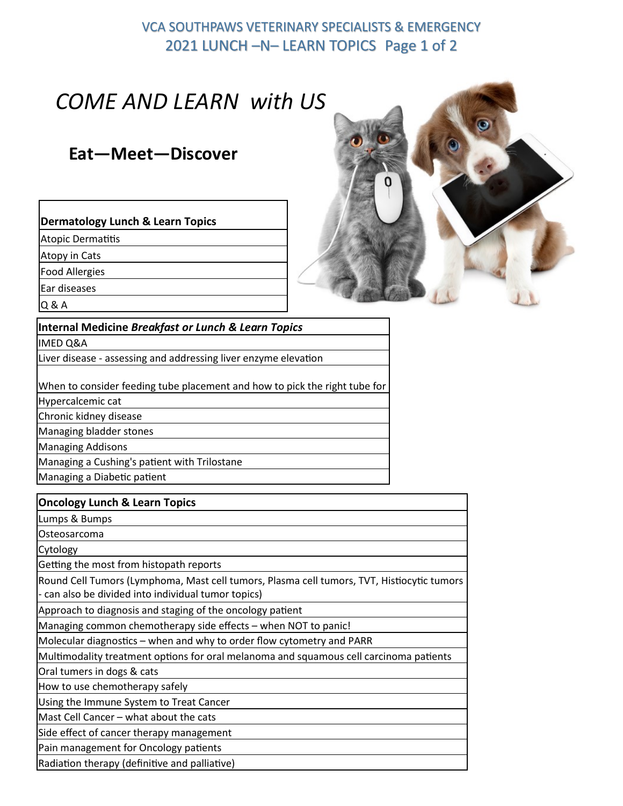### VCA SOUTHPAWS VETERINARY SPECIALISTS & EMERGENCY 2021 LUNCH –N– LEARN TOPICS Page 1 of 2

# *COME AND LEARN with US*

## **Eat—Meet—Discover**

| <b>Dermatology Lunch &amp; Learn Topics</b> |  |
|---------------------------------------------|--|
|---------------------------------------------|--|

Atopic Dermatitis

Atopy in Cats

Food Allergies

Ear diseases

Q & A

| <b>Internal Medicine Breakfast or Lunch &amp; Learn Topics</b> |  |
|----------------------------------------------------------------|--|
| IMED Q&A                                                       |  |

Liver disease - assessing and addressing liver enzyme elevation

When to consider feeding tube placement and how to pick the right tube for

Hypercalcemic cat

Chronic kidney disease

Managing bladder stones

Managing Addisons

Managing a Cushing's patient with Trilostane

Managing a Diabetic patient

**Oncology Lunch & Learn Topics**

Lumps & Bumps

Osteosarcoma

Cytology

Getting the most from histopath reports

Round Cell Tumors (Lymphoma, Mast cell tumors, Plasma cell tumors, TVT, Histiocytic tumors - can also be divided into individual tumor topics)

Approach to diagnosis and staging of the oncology patient

Managing common chemotherapy side effects – when NOT to panic!

Molecular diagnostics – when and why to order flow cytometry and PARR

Multimodality treatment options for oral melanoma and squamous cell carcinoma patients

Oral tumers in dogs & cats

How to use chemotherapy safely

Using the Immune System to Treat Cancer

Mast Cell Cancer – what about the cats

Side effect of cancer therapy management

Pain management for Oncology patients

Radiation therapy (definitive and palliative)